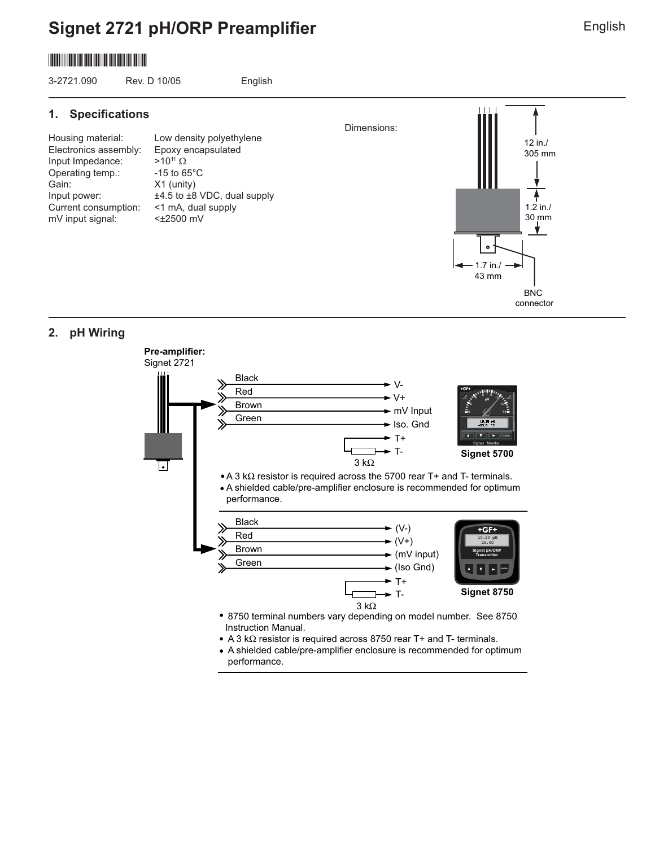# **Signet 2721 pH/ORP Preamplifier**

# \*3-2721.090\*

3-2721.090 Rev. D 10/05 English

#### **1.** Specifications

Electronics assembly: Epoxy encapsulated Input Impedance:  $>10^{11} Ω$ Operating temp.: -15 to 65°C Gain: X1 (unity) Current consumption: <1 mA, dual supply mV input signal: <±2500 mV

Housing material: Low density polyethylene Input power:  $\pm 4.5$  to  $\pm 8$  VDC, dual supply



#### **2. pH Wiring**



Dimensions: